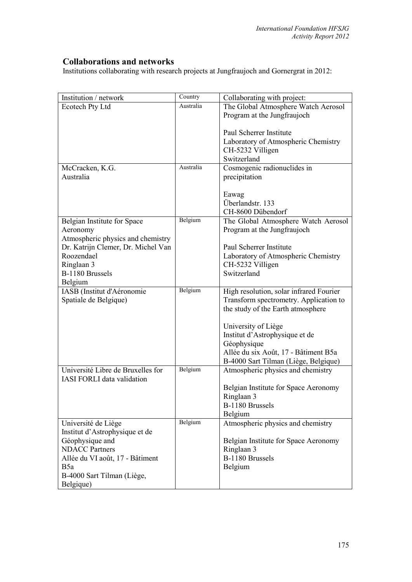## **Collaborations and networks**

Institutions collaborating with research projects at Jungfraujoch and Gornergrat in 2012:

| Institution / network              | Country   | Collaborating with project:             |
|------------------------------------|-----------|-----------------------------------------|
| Ecotech Pty Ltd                    | Australia | The Global Atmosphere Watch Aerosol     |
|                                    |           | Program at the Jungfraujoch             |
|                                    |           |                                         |
|                                    |           | Paul Scherrer Institute                 |
|                                    |           | Laboratory of Atmospheric Chemistry     |
|                                    |           | CH-5232 Villigen                        |
|                                    |           | Switzerland                             |
| McCracken, K.G.                    | Australia | Cosmogenic radionuclides in             |
| Australia                          |           | precipitation                           |
|                                    |           |                                         |
|                                    |           | Eawag<br>Überlandstr. 133               |
|                                    |           | CH-8600 Dübendorf                       |
| Belgian Institute for Space        | Belgium   | The Global Atmosphere Watch Aerosol     |
| Aeronomy                           |           | Program at the Jungfraujoch             |
| Atmospheric physics and chemistry  |           |                                         |
| Dr. Katrijn Clemer, Dr. Michel Van |           | Paul Scherrer Institute                 |
| Roozendael                         |           | Laboratory of Atmospheric Chemistry     |
| Ringlaan 3                         |           | CH-5232 Villigen                        |
| B-1180 Brussels                    |           | Switzerland                             |
| Belgium                            |           |                                         |
| IASB (Institut d'Aéronomie         | Belgium   | High resolution, solar infrared Fourier |
| Spatiale de Belgique)              |           | Transform spectrometry. Application to  |
|                                    |           | the study of the Earth atmosphere       |
|                                    |           |                                         |
|                                    |           | University of Liège                     |
|                                    |           | Institut d'Astrophysique et de          |
|                                    |           | Géophysique                             |
|                                    |           | Allée du six Août, 17 - Bâtiment B5a    |
|                                    |           | B-4000 Sart Tilman (Liège, Belgique)    |
| Université Libre de Bruxelles for  | Belgium   | Atmospheric physics and chemistry       |
| <b>IASI FORLI</b> data validation  |           |                                         |
|                                    |           | Belgian Institute for Space Aeronomy    |
|                                    |           | Ringlaan 3<br>B-1180 Brussels           |
|                                    |           | Belgium                                 |
| Université de Liège                | Belgium   | Atmospheric physics and chemistry       |
| Institut d'Astrophysique et de     |           |                                         |
| Géophysique and                    |           | Belgian Institute for Space Aeronomy    |
| <b>NDACC Partners</b>              |           | Ringlaan 3                              |
| Allée du VI août, 17 - Bâtiment    |           | B-1180 Brussels                         |
| B <sub>5</sub> a                   |           | Belgium                                 |
| B-4000 Sart Tilman (Liège,         |           |                                         |
| Belgique)                          |           |                                         |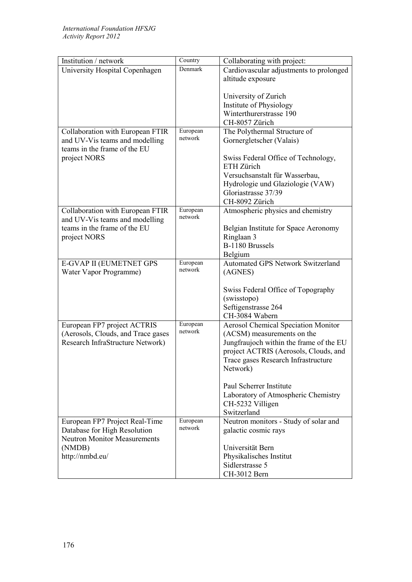| Institution / network               | Country             | Collaborating with project:                |
|-------------------------------------|---------------------|--------------------------------------------|
| University Hospital Copenhagen      | Denmark             | Cardiovascular adjustments to prolonged    |
|                                     |                     | altitude exposure                          |
|                                     |                     |                                            |
|                                     |                     | University of Zurich                       |
|                                     |                     | Institute of Physiology                    |
|                                     |                     | Winterthurerstrasse 190                    |
|                                     |                     | CH-8057 Zürich                             |
| Collaboration with European FTIR    | European<br>network | The Polythermal Structure of               |
| and UV-Vis teams and modelling      |                     | Gornergletscher (Valais)                   |
| teams in the frame of the EU        |                     |                                            |
| project NORS                        |                     | Swiss Federal Office of Technology,        |
|                                     |                     | ETH Zürich                                 |
|                                     |                     | Versuchsanstalt für Wasserbau,             |
|                                     |                     | Hydrologie und Glaziologie (VAW)           |
|                                     |                     | Gloriastrasse 37/39                        |
|                                     |                     | CH-8092 Zürich                             |
| Collaboration with European FTIR    | European            | Atmospheric physics and chemistry          |
| and UV-Vis teams and modelling      | network             |                                            |
| teams in the frame of the EU        |                     | Belgian Institute for Space Aeronomy       |
| project NORS                        |                     | Ringlaan 3                                 |
|                                     |                     | B-1180 Brussels                            |
|                                     |                     | Belgium                                    |
| E-GVAP II (EUMETNET GPS             | European            | <b>Automated GPS Network Switzerland</b>   |
| Water Vapor Programme)              | network             | (AGNES)                                    |
|                                     |                     |                                            |
|                                     |                     | Swiss Federal Office of Topography         |
|                                     |                     | (swisstopo)                                |
|                                     |                     | Seftigenstrasse 264                        |
|                                     |                     | CH-3084 Wabern                             |
| European FP7 project ACTRIS         | European<br>network | <b>Aerosol Chemical Speciation Monitor</b> |
| (Aerosols, Clouds, and Trace gases  |                     | (ACSM) measurements on the                 |
| Research InfraStructure Network)    |                     | Jungfraujoch within the frame of the EU    |
|                                     |                     | project ACTRIS (Aerosols, Clouds, and      |
|                                     |                     | Trace gases Research Infrastructure        |
|                                     |                     | Network)                                   |
|                                     |                     |                                            |
|                                     |                     | Paul Scherrer Institute                    |
|                                     |                     | Laboratory of Atmospheric Chemistry        |
|                                     |                     | CH-5232 Villigen                           |
|                                     |                     | Switzerland                                |
| European FP7 Project Real-Time      | European<br>network | Neutron monitors - Study of solar and      |
| Database for High Resolution        |                     | galactic cosmic rays                       |
| <b>Neutron Monitor Measurements</b> |                     |                                            |
| (NMDB)                              |                     | Universität Bern                           |
| http://nmbd.eu/                     |                     | Physikalisches Institut                    |
|                                     |                     | Sidlerstrasse 5                            |
|                                     |                     | CH-3012 Bern                               |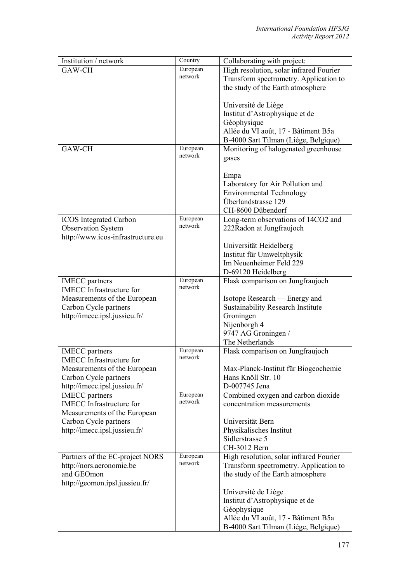| Institution / network             | Country  | Collaborating with project:              |
|-----------------------------------|----------|------------------------------------------|
| GAW-CH                            | European | High resolution, solar infrared Fourier  |
|                                   | network  | Transform spectrometry. Application to   |
|                                   |          | the study of the Earth atmosphere        |
|                                   |          |                                          |
|                                   |          | Université de Liège                      |
|                                   |          | Institut d'Astrophysique et de           |
|                                   |          | Géophysique                              |
|                                   |          |                                          |
|                                   |          | Allée du VI août, 17 - Bâtiment B5a      |
|                                   |          | B-4000 Sart Tilman (Liège, Belgique)     |
| GAW-CH                            | European | Monitoring of halogenated greenhouse     |
|                                   | network  | gases                                    |
|                                   |          |                                          |
|                                   |          | Empa                                     |
|                                   |          | Laboratory for Air Pollution and         |
|                                   |          | <b>Environmental Technology</b>          |
|                                   |          | Überlandstrasse 129                      |
|                                   |          | CH-8600 Dübendorf                        |
| <b>ICOS</b> Integrated Carbon     | European | Long-term observations of 14CO2 and      |
| <b>Observation System</b>         | network  | 222Radon at Jungfraujoch                 |
| http://www.icos-infrastructure.eu |          |                                          |
|                                   |          |                                          |
|                                   |          | Universität Heidelberg                   |
|                                   |          | Institut für Umweltphysik                |
|                                   |          | Im Neuenheimer Feld 229                  |
|                                   |          | D-69120 Heidelberg                       |
| <b>IMECC</b> partners             | European | Flask comparison on Jungfraujoch         |
| <b>IMECC</b> Infrastructure for   | network  |                                          |
| Measurements of the European      |          | Isotope Research — Energy and            |
| Carbon Cycle partners             |          | <b>Sustainability Research Institute</b> |
| http://imecc.ipsl.jussieu.fr/     |          | Groningen                                |
|                                   |          | Nijenborgh 4                             |
|                                   |          | 9747 AG Groningen /                      |
|                                   |          | The Netherlands                          |
| <b>IMECC</b> partners             | European | Flask comparison on Jungfraujoch         |
| <b>IMECC</b> Infrastructure for   | network  |                                          |
| Measurements of the European      |          | Max-Planck-Institut für Biogeochemie     |
| Carbon Cycle partners             |          | Hans Knöll Str. 10                       |
|                                   |          | D-007745 Jena                            |
| http://imecc.ipsl.jussieu.fr/     | European |                                          |
| <b>IMECC</b> partners             | network  | Combined oxygen and carbon dioxide       |
| <b>IMECC</b> Infrastructure for   |          | concentration measurements               |
| Measurements of the European      |          |                                          |
| Carbon Cycle partners             |          | Universität Bern                         |
| http://imecc.ipsl.jussieu.fr/     |          | Physikalisches Institut                  |
|                                   |          | Sidlerstrasse 5                          |
|                                   |          | CH-3012 Bern                             |
| Partners of the EC-project NORS   | European | High resolution, solar infrared Fourier  |
| http://nors.aeronomie.be          | network  | Transform spectrometry. Application to   |
| and GEOmon                        |          | the study of the Earth atmosphere        |
| http://geomon.ipsl.jussieu.fr/    |          |                                          |
|                                   |          | Université de Liège                      |
|                                   |          | Institut d'Astrophysique et de           |
|                                   |          | Géophysique                              |
|                                   |          | Allée du VI août, 17 - Bâtiment B5a      |
|                                   |          |                                          |
|                                   |          | B-4000 Sart Tilman (Liège, Belgique)     |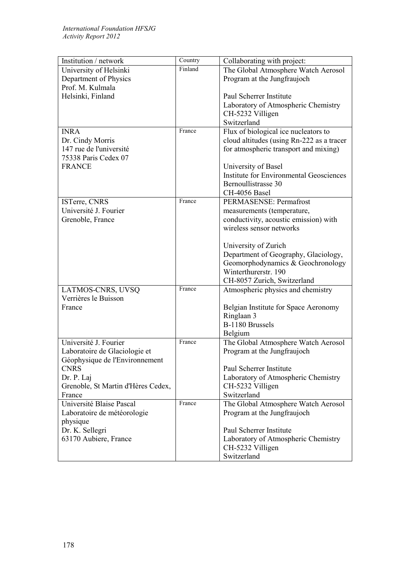| Institution / network              | Country | Collaborating with project:                                      |
|------------------------------------|---------|------------------------------------------------------------------|
| University of Helsinki             | Finland | The Global Atmosphere Watch Aerosol                              |
| Department of Physics              |         | Program at the Jungfraujoch                                      |
| Prof. M. Kulmala                   |         |                                                                  |
| Helsinki, Finland                  |         | Paul Scherrer Institute                                          |
|                                    |         | Laboratory of Atmospheric Chemistry                              |
|                                    |         | CH-5232 Villigen                                                 |
|                                    |         | Switzerland                                                      |
| <b>INRA</b>                        | France  | Flux of biological ice nucleators to                             |
| Dr. Cindy Morris                   |         | cloud altitudes (using Rn-222 as a tracer                        |
| 147 rue de l'université            |         | for atmospheric transport and mixing)                            |
| 75338 Paris Cedex 07               |         |                                                                  |
| <b>FRANCE</b>                      |         | University of Basel                                              |
|                                    |         | <b>Institute for Environmental Geosciences</b>                   |
|                                    |         | Bernoullistrasse 30                                              |
|                                    |         | CH-4056 Basel                                                    |
| ISTerre, CNRS                      | France  | PERMASENSE: Permafrost                                           |
| Université J. Fourier              |         | measurements (temperature,                                       |
| Grenoble, France                   |         | conductivity, acoustic emission) with                            |
|                                    |         | wireless sensor networks                                         |
|                                    |         |                                                                  |
|                                    |         | University of Zurich                                             |
|                                    |         | Department of Geography, Glaciology,                             |
|                                    |         | Geomorphodynamics & Geochronology<br>Winterthurerstr. 190        |
|                                    |         |                                                                  |
| LATMOS-CNRS, UVSQ                  | France  | CH-8057 Zurich, Switzerland<br>Atmospheric physics and chemistry |
| Verrières le Buisson               |         |                                                                  |
| France                             |         | Belgian Institute for Space Aeronomy                             |
|                                    |         | Ringlaan 3                                                       |
|                                    |         | B-1180 Brussels                                                  |
|                                    |         | Belgium                                                          |
| Université J. Fourier              | France  | The Global Atmosphere Watch Aerosol                              |
| Laboratoire de Glaciologie et      |         | Program at the Jungfraujoch                                      |
| Géophysique de l'Environnement     |         |                                                                  |
| <b>CNRS</b>                        |         | Paul Scherrer Institute                                          |
| Dr. P. Laj                         |         | Laboratory of Atmospheric Chemistry                              |
| Grenoble, St Martin d'Hères Cedex, |         | CH-5232 Villigen                                                 |
| France                             |         | Switzerland                                                      |
| Université Blaise Pascal           | France  | The Global Atmosphere Watch Aerosol                              |
| Laboratoire de météorologie        |         | Program at the Jungfraujoch                                      |
| physique                           |         |                                                                  |
| Dr. K. Sellegri                    |         | Paul Scherrer Institute                                          |
| 63170 Aubiere, France              |         | Laboratory of Atmospheric Chemistry                              |
|                                    |         | CH-5232 Villigen                                                 |
|                                    |         | Switzerland                                                      |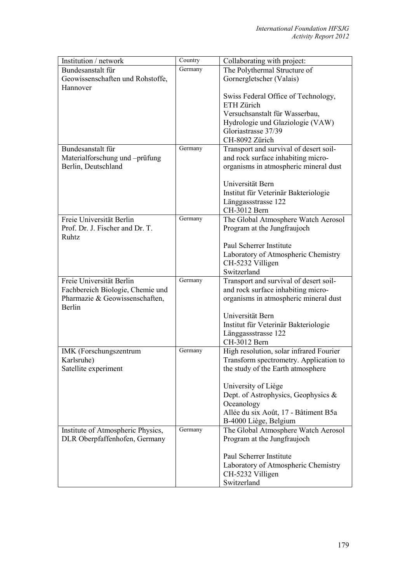| Institution / network                                       | Country | Collaborating with project:             |
|-------------------------------------------------------------|---------|-----------------------------------------|
| Bundesanstalt für                                           | Germany | The Polythermal Structure of            |
| Geowissenschaften und Rohstoffe,                            |         | Gornergletscher (Valais)                |
| Hannover                                                    |         |                                         |
|                                                             |         | Swiss Federal Office of Technology,     |
|                                                             |         | ETH Zürich                              |
|                                                             |         | Versuchsanstalt für Wasserbau,          |
|                                                             |         | Hydrologie und Glaziologie (VAW)        |
|                                                             |         | Gloriastrasse 37/39                     |
|                                                             |         | CH-8092 Zürich                          |
| Bundesanstalt für                                           | Germany | Transport and survival of desert soil-  |
| Materialforschung und -prüfung                              |         | and rock surface inhabiting micro-      |
| Berlin, Deutschland                                         |         | organisms in atmospheric mineral dust   |
|                                                             |         |                                         |
|                                                             |         | Universität Bern                        |
|                                                             |         | Institut für Veterinär Bakteriologie    |
|                                                             |         | Länggassstrasse 122                     |
|                                                             |         | CH-3012 Bern                            |
| Freie Universität Berlin<br>Prof. Dr. J. Fischer and Dr. T. | Germany | The Global Atmosphere Watch Aerosol     |
| <b>Ruhtz</b>                                                |         | Program at the Jungfraujoch             |
|                                                             |         | Paul Scherrer Institute                 |
|                                                             |         | Laboratory of Atmospheric Chemistry     |
|                                                             |         | CH-5232 Villigen                        |
|                                                             |         | Switzerland                             |
| Freie Universität Berlin                                    | Germany | Transport and survival of desert soil-  |
| Fachbereich Biologie, Chemie und                            |         | and rock surface inhabiting micro-      |
| Pharmazie & Geowissenschaften,                              |         | organisms in atmospheric mineral dust   |
| Berlin                                                      |         |                                         |
|                                                             |         | Universität Bern                        |
|                                                             |         | Institut für Veterinär Bakteriologie    |
|                                                             |         | Länggassstrasse 122                     |
|                                                             |         | CH-3012 Bern                            |
| IMK (Forschungszentrum                                      | Germany | High resolution, solar infrared Fourier |
| Karlsruhe)                                                  |         | Transform spectrometry. Application to  |
| Satellite experiment                                        |         | the study of the Earth atmosphere       |
|                                                             |         |                                         |
|                                                             |         | University of Liège                     |
|                                                             |         | Dept. of Astrophysics, Geophysics &     |
|                                                             |         | Oceanology                              |
|                                                             |         | Allée du six Août, 17 - Bâtiment B5a    |
|                                                             |         | B-4000 Liège, Belgium                   |
| Institute of Atmospheric Physics,                           | Germany | The Global Atmosphere Watch Aerosol     |
| DLR Oberpfaffenhofen, Germany                               |         | Program at the Jungfraujoch             |
|                                                             |         |                                         |
|                                                             |         | Paul Scherrer Institute                 |
|                                                             |         | Laboratory of Atmospheric Chemistry     |
|                                                             |         | CH-5232 Villigen                        |
|                                                             |         | Switzerland                             |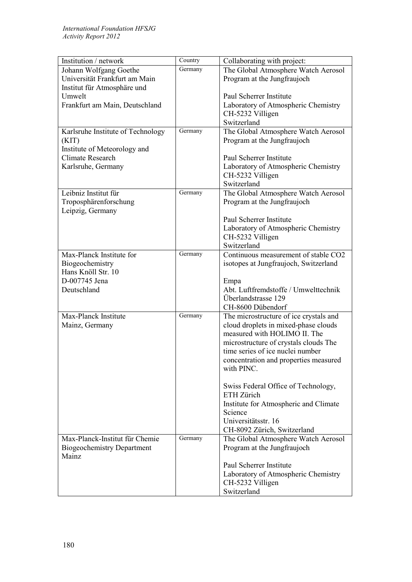| Institution / network             | Country | Collaborating with project:                       |
|-----------------------------------|---------|---------------------------------------------------|
| Johann Wolfgang Goethe            | Germany | The Global Atmosphere Watch Aerosol               |
| Universität Frankfurt am Main     |         | Program at the Jungfraujoch                       |
| Institut für Atmosphäre und       |         |                                                   |
| Umwelt                            |         | Paul Scherrer Institute                           |
| Frankfurt am Main, Deutschland    |         | Laboratory of Atmospheric Chemistry               |
|                                   |         | CH-5232 Villigen                                  |
|                                   |         | Switzerland                                       |
| Karlsruhe Institute of Technology | Germany | The Global Atmosphere Watch Aerosol               |
| (KIT)                             |         | Program at the Jungfraujoch                       |
| Institute of Meteorology and      |         |                                                   |
| <b>Climate Research</b>           |         | Paul Scherrer Institute                           |
| Karlsruhe, Germany                |         | Laboratory of Atmospheric Chemistry               |
|                                   |         | CH-5232 Villigen                                  |
|                                   |         | Switzerland                                       |
| Leibniz Institut für              | Germany | The Global Atmosphere Watch Aerosol               |
| Troposphärenforschung             |         | Program at the Jungfraujoch                       |
| Leipzig, Germany                  |         |                                                   |
|                                   |         | Paul Scherrer Institute                           |
|                                   |         | Laboratory of Atmospheric Chemistry               |
|                                   |         | CH-5232 Villigen                                  |
|                                   |         | Switzerland                                       |
| Max-Planck Institute for          | Germany | Continuous measurement of stable CO2              |
| Biogeochemistry                   |         | isotopes at Jungfraujoch, Switzerland             |
| Hans Knöll Str. 10                |         |                                                   |
| D-007745 Jena                     |         | Empa<br>Abt. Luftfremdstoffe / Umwelttechnik      |
| Deutschland                       |         | Überlandstrasse 129                               |
|                                   |         | CH-8600 Dübendorf                                 |
| Max-Planck Institute              | Germany | The microstructure of ice crystals and            |
| Mainz, Germany                    |         | cloud droplets in mixed-phase clouds              |
|                                   |         | measured with HOLIMO II. The                      |
|                                   |         | microstructure of crystals clouds The             |
|                                   |         | time series of ice nuclei number                  |
|                                   |         | concentration and properties measured             |
|                                   |         | with PINC.                                        |
|                                   |         |                                                   |
|                                   |         | Swiss Federal Office of Technology,<br>ETH Zürich |
|                                   |         |                                                   |
|                                   |         | Institute for Atmospheric and Climate<br>Science  |
|                                   |         | Universitätsstr. 16                               |
|                                   |         | CH-8092 Zürich, Switzerland                       |
| Max-Planck-Institut für Chemie    | Germany | The Global Atmosphere Watch Aerosol               |
| <b>Biogeochemistry Department</b> |         | Program at the Jungfraujoch                       |
| Mainz                             |         |                                                   |
|                                   |         | Paul Scherrer Institute                           |
|                                   |         | Laboratory of Atmospheric Chemistry               |
|                                   |         | CH-5232 Villigen                                  |
|                                   |         | Switzerland                                       |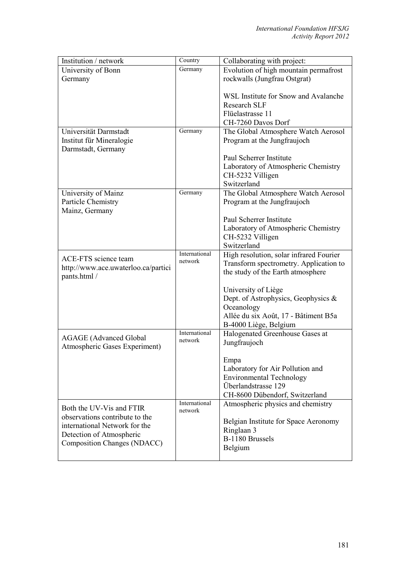| Institution / network               | Country       | Collaborating with project:             |
|-------------------------------------|---------------|-----------------------------------------|
| University of Bonn                  | Germany       | Evolution of high mountain permafrost   |
| Germany                             |               | rockwalls (Jungfrau Ostgrat)            |
|                                     |               |                                         |
|                                     |               | WSL Institute for Snow and Avalanche    |
|                                     |               | <b>Research SLF</b>                     |
|                                     |               | Flüelastrasse 11                        |
|                                     |               | CH-7260 Davos Dorf                      |
| Universität Darmstadt               | Germany       | The Global Atmosphere Watch Aerosol     |
| Institut für Mineralogie            |               | Program at the Jungfraujoch             |
| Darmstadt, Germany                  |               |                                         |
|                                     |               | Paul Scherrer Institute                 |
|                                     |               | Laboratory of Atmospheric Chemistry     |
|                                     |               | CH-5232 Villigen                        |
|                                     |               | Switzerland                             |
| University of Mainz                 | Germany       | The Global Atmosphere Watch Aerosol     |
| Particle Chemistry                  |               | Program at the Jungfraujoch             |
| Mainz, Germany                      |               |                                         |
|                                     |               | Paul Scherrer Institute                 |
|                                     |               | Laboratory of Atmospheric Chemistry     |
|                                     |               | CH-5232 Villigen                        |
|                                     |               | Switzerland                             |
| <b>ACE-FTS</b> science team         | International | High resolution, solar infrared Fourier |
| http://www.ace.uwaterloo.ca/partici | network       | Transform spectrometry. Application to  |
| pants.html /                        |               | the study of the Earth atmosphere       |
|                                     |               |                                         |
|                                     |               | University of Liège                     |
|                                     |               | Dept. of Astrophysics, Geophysics &     |
|                                     |               | Oceanology                              |
|                                     |               | Allée du six Août, 17 - Bâtiment B5a    |
|                                     |               | B-4000 Liège, Belgium                   |
| <b>AGAGE</b> (Advanced Global       | International | Halogenated Greenhouse Gases at         |
| Atmospheric Gases Experiment)       | network       | Jungfraujoch                            |
|                                     |               |                                         |
|                                     |               | Empa                                    |
|                                     |               | Laboratory for Air Pollution and        |
|                                     |               | <b>Environmental Technology</b>         |
|                                     |               | Überlandstrasse 129                     |
|                                     |               | CH-8600 Dübendorf, Switzerland          |
| Both the UV-Vis and FTIR            | International | Atmospheric physics and chemistry       |
| observations contribute to the      | network       |                                         |
| international Network for the       |               | Belgian Institute for Space Aeronomy    |
| Detection of Atmospheric            |               | Ringlaan 3                              |
| Composition Changes (NDACC)         |               | B-1180 Brussels                         |
|                                     |               | Belgium                                 |
|                                     |               |                                         |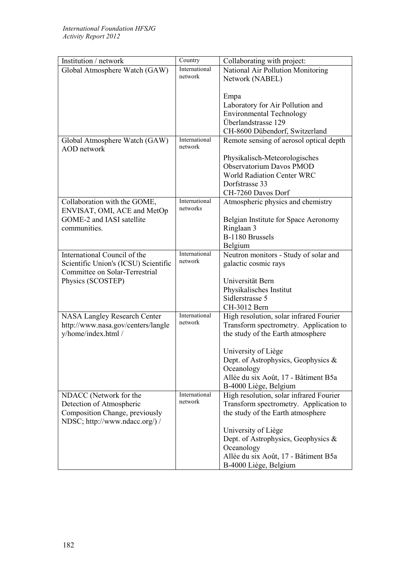| Institution / network                                       | Country                   | Collaborating with project:             |
|-------------------------------------------------------------|---------------------------|-----------------------------------------|
| Global Atmosphere Watch (GAW)                               | International             | National Air Pollution Monitoring       |
|                                                             | network                   | Network (NABEL)                         |
|                                                             |                           |                                         |
|                                                             |                           | Empa                                    |
|                                                             |                           | Laboratory for Air Pollution and        |
|                                                             |                           | <b>Environmental Technology</b>         |
|                                                             |                           | Überlandstrasse 129                     |
|                                                             |                           | CH-8600 Dübendorf, Switzerland          |
| Global Atmosphere Watch (GAW)                               | International             | Remote sensing of aerosol optical depth |
| <b>AOD</b> network                                          | network                   |                                         |
|                                                             |                           | Physikalisch-Meteorologisches           |
|                                                             |                           | Observatorium Davos PMOD                |
|                                                             |                           | World Radiation Center WRC              |
|                                                             |                           | Dorfstrasse 33                          |
|                                                             |                           | CH-7260 Davos Dorf                      |
| Collaboration with the GOME,<br>ENVISAT, OMI, ACE and MetOp | International<br>networks | Atmospheric physics and chemistry       |
| GOME-2 and IASI satellite                                   |                           | Belgian Institute for Space Aeronomy    |
| communities.                                                |                           | Ringlaan 3                              |
|                                                             |                           | B-1180 Brussels                         |
|                                                             |                           | Belgium                                 |
| International Council of the                                | International             | Neutron monitors - Study of solar and   |
| Scientific Union's (ICSU) Scientific                        | network                   | galactic cosmic rays                    |
| Committee on Solar-Terrestrial                              |                           |                                         |
| Physics (SCOSTEP)                                           |                           | Universität Bern                        |
|                                                             |                           | Physikalisches Institut                 |
|                                                             |                           | Sidlerstrasse 5                         |
|                                                             |                           | CH-3012 Bern                            |
| <b>NASA Langley Research Center</b>                         | International             | High resolution, solar infrared Fourier |
| http://www.nasa.gov/centers/langle                          | network                   | Transform spectrometry. Application to  |
| y/home/index.html /                                         |                           | the study of the Earth atmosphere       |
|                                                             |                           |                                         |
|                                                             |                           | University of Liège                     |
|                                                             |                           | Dept. of Astrophysics, Geophysics &     |
|                                                             |                           | Oceanology                              |
|                                                             |                           | Allée du six Août, 17 - Bâtiment B5a    |
|                                                             |                           | B-4000 Liège, Belgium                   |
| NDACC (Network for the                                      | International             | High resolution, solar infrared Fourier |
| Detection of Atmospheric                                    | network                   | Transform spectrometry. Application to  |
| Composition Change, previously                              |                           | the study of the Earth atmosphere       |
| NDSC; http://www.ndacc.org/) /                              |                           |                                         |
|                                                             |                           | University of Liège                     |
|                                                             |                           | Dept. of Astrophysics, Geophysics $\&$  |
|                                                             |                           | Oceanology                              |
|                                                             |                           | Allée du six Août, 17 - Bâtiment B5a    |
|                                                             |                           | B-4000 Liège, Belgium                   |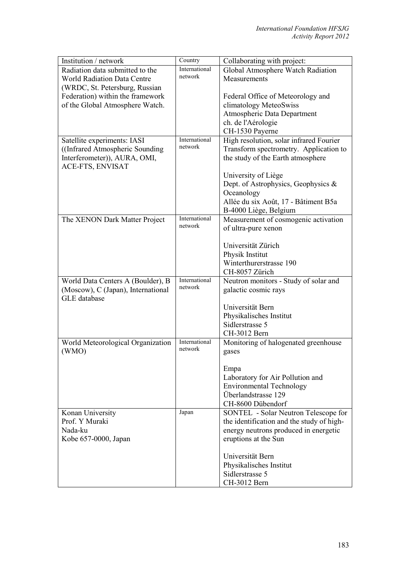| Institution / network              | Country                  | Collaborating with project:               |
|------------------------------------|--------------------------|-------------------------------------------|
| Radiation data submitted to the    | International            | Global Atmosphere Watch Radiation         |
| <b>World Radiation Data Centre</b> | network                  | Measurements                              |
| (WRDC, St. Petersburg, Russian     |                          |                                           |
| Federation) within the framework   |                          | Federal Office of Meteorology and         |
| of the Global Atmosphere Watch.    |                          | climatology MeteoSwiss                    |
|                                    |                          | Atmospheric Data Department               |
|                                    |                          | ch. de l'Aérologie                        |
|                                    |                          | CH-1530 Payerne                           |
| Satellite experiments: IASI        | International            | High resolution, solar infrared Fourier   |
| ((Infrared Atmospheric Sounding)   | network                  | Transform spectrometry. Application to    |
| Interferometer)), AURA, OMI,       |                          | the study of the Earth atmosphere         |
| ACE-FTS, ENVISAT                   |                          |                                           |
|                                    |                          | University of Liège                       |
|                                    |                          | Dept. of Astrophysics, Geophysics &       |
|                                    |                          | Oceanology                                |
|                                    |                          |                                           |
|                                    |                          | Allée du six Août, 17 - Bâtiment B5a      |
|                                    | International            | B-4000 Liège, Belgium                     |
| The XENON Dark Matter Project      | network                  | Measurement of cosmogenic activation      |
|                                    |                          | of ultra-pure xenon                       |
|                                    |                          |                                           |
|                                    |                          | Universität Zürich                        |
|                                    |                          | Physik Institut                           |
|                                    |                          | Winterthurerstrasse 190                   |
|                                    |                          | CH-8057 Zürich                            |
| World Data Centers A (Boulder), B  | International<br>network | Neutron monitors - Study of solar and     |
| (Moscow), C (Japan), International |                          | galactic cosmic rays                      |
| <b>GLE</b> database                |                          |                                           |
|                                    |                          | Universität Bern                          |
|                                    |                          | Physikalisches Institut                   |
|                                    |                          | Sidlerstrasse 5                           |
|                                    |                          | CH-3012 Bern                              |
| World Meteorological Organization  | International            | Monitoring of halogenated greenhouse      |
| (WMO)                              | network                  | gases                                     |
|                                    |                          |                                           |
|                                    |                          | Empa                                      |
|                                    |                          | Laboratory for Air Pollution and          |
|                                    |                          | <b>Environmental Technology</b>           |
|                                    |                          | Überlandstrasse 129                       |
|                                    |                          | CH-8600 Dübendorf                         |
| Konan University                   | Japan                    | SONTEL - Solar Neutron Telescope for      |
| Prof. Y Muraki                     |                          | the identification and the study of high- |
| Nada-ku                            |                          | energy neutrons produced in energetic     |
| Kobe 657-0000, Japan               |                          | eruptions at the Sun                      |
|                                    |                          |                                           |
|                                    |                          | Universität Bern                          |
|                                    |                          | Physikalisches Institut                   |
|                                    |                          | Sidlerstrasse 5                           |
|                                    |                          | CH-3012 Bern                              |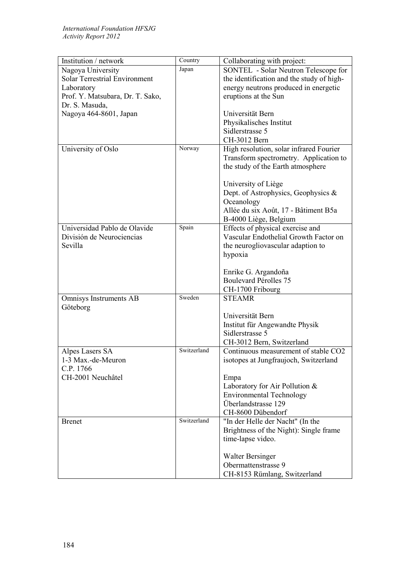| Collaborating with project:<br>Japan<br>Nagoya University<br>SONTEL - Solar Neutron Telescope for<br><b>Solar Terrestrial Environment</b><br>the identification and the study of high-<br>energy neutrons produced in energetic<br>Laboratory<br>eruptions at the Sun<br>Prof. Y. Matsubara, Dr. T. Sako,<br>Dr. S. Masuda,<br>Nagoya 464-8601, Japan<br>Universität Bern<br>Physikalisches Institut<br>Sidlerstrasse 5<br>CH-3012 Bern<br>Norway<br>High resolution, solar infrared Fourier<br>University of Oslo<br>Transform spectrometry. Application to<br>the study of the Earth atmosphere<br>University of Liège<br>Dept. of Astrophysics, Geophysics &<br>Oceanology<br>Allée du six Août, 17 - Bâtiment B5a<br>B-4000 Liège, Belgium<br>Spain<br>Universidad Pablo de Olavide<br>Effects of physical exercise and<br>Vascular Endothelial Growth Factor on<br>División de Neurociencias<br>Sevilla<br>the neurogliovascular adaption to<br>hypoxia<br>Enrike G. Argandoña<br><b>Boulevard Pérolles 75</b><br>CH-1700 Fribourg<br>Sweden<br><b>STEAMR</b><br>Omnisys Instruments AB<br>Göteborg<br>Universität Bern<br>Institut für Angewandte Physik<br>Sidlerstrasse 5 |
|-----------------------------------------------------------------------------------------------------------------------------------------------------------------------------------------------------------------------------------------------------------------------------------------------------------------------------------------------------------------------------------------------------------------------------------------------------------------------------------------------------------------------------------------------------------------------------------------------------------------------------------------------------------------------------------------------------------------------------------------------------------------------------------------------------------------------------------------------------------------------------------------------------------------------------------------------------------------------------------------------------------------------------------------------------------------------------------------------------------------------------------------------------------------------------------|
|                                                                                                                                                                                                                                                                                                                                                                                                                                                                                                                                                                                                                                                                                                                                                                                                                                                                                                                                                                                                                                                                                                                                                                                   |
|                                                                                                                                                                                                                                                                                                                                                                                                                                                                                                                                                                                                                                                                                                                                                                                                                                                                                                                                                                                                                                                                                                                                                                                   |
|                                                                                                                                                                                                                                                                                                                                                                                                                                                                                                                                                                                                                                                                                                                                                                                                                                                                                                                                                                                                                                                                                                                                                                                   |
|                                                                                                                                                                                                                                                                                                                                                                                                                                                                                                                                                                                                                                                                                                                                                                                                                                                                                                                                                                                                                                                                                                                                                                                   |
|                                                                                                                                                                                                                                                                                                                                                                                                                                                                                                                                                                                                                                                                                                                                                                                                                                                                                                                                                                                                                                                                                                                                                                                   |
|                                                                                                                                                                                                                                                                                                                                                                                                                                                                                                                                                                                                                                                                                                                                                                                                                                                                                                                                                                                                                                                                                                                                                                                   |
|                                                                                                                                                                                                                                                                                                                                                                                                                                                                                                                                                                                                                                                                                                                                                                                                                                                                                                                                                                                                                                                                                                                                                                                   |
|                                                                                                                                                                                                                                                                                                                                                                                                                                                                                                                                                                                                                                                                                                                                                                                                                                                                                                                                                                                                                                                                                                                                                                                   |
|                                                                                                                                                                                                                                                                                                                                                                                                                                                                                                                                                                                                                                                                                                                                                                                                                                                                                                                                                                                                                                                                                                                                                                                   |
|                                                                                                                                                                                                                                                                                                                                                                                                                                                                                                                                                                                                                                                                                                                                                                                                                                                                                                                                                                                                                                                                                                                                                                                   |
|                                                                                                                                                                                                                                                                                                                                                                                                                                                                                                                                                                                                                                                                                                                                                                                                                                                                                                                                                                                                                                                                                                                                                                                   |
|                                                                                                                                                                                                                                                                                                                                                                                                                                                                                                                                                                                                                                                                                                                                                                                                                                                                                                                                                                                                                                                                                                                                                                                   |
|                                                                                                                                                                                                                                                                                                                                                                                                                                                                                                                                                                                                                                                                                                                                                                                                                                                                                                                                                                                                                                                                                                                                                                                   |
|                                                                                                                                                                                                                                                                                                                                                                                                                                                                                                                                                                                                                                                                                                                                                                                                                                                                                                                                                                                                                                                                                                                                                                                   |
|                                                                                                                                                                                                                                                                                                                                                                                                                                                                                                                                                                                                                                                                                                                                                                                                                                                                                                                                                                                                                                                                                                                                                                                   |
|                                                                                                                                                                                                                                                                                                                                                                                                                                                                                                                                                                                                                                                                                                                                                                                                                                                                                                                                                                                                                                                                                                                                                                                   |
|                                                                                                                                                                                                                                                                                                                                                                                                                                                                                                                                                                                                                                                                                                                                                                                                                                                                                                                                                                                                                                                                                                                                                                                   |
|                                                                                                                                                                                                                                                                                                                                                                                                                                                                                                                                                                                                                                                                                                                                                                                                                                                                                                                                                                                                                                                                                                                                                                                   |
|                                                                                                                                                                                                                                                                                                                                                                                                                                                                                                                                                                                                                                                                                                                                                                                                                                                                                                                                                                                                                                                                                                                                                                                   |
|                                                                                                                                                                                                                                                                                                                                                                                                                                                                                                                                                                                                                                                                                                                                                                                                                                                                                                                                                                                                                                                                                                                                                                                   |
|                                                                                                                                                                                                                                                                                                                                                                                                                                                                                                                                                                                                                                                                                                                                                                                                                                                                                                                                                                                                                                                                                                                                                                                   |
|                                                                                                                                                                                                                                                                                                                                                                                                                                                                                                                                                                                                                                                                                                                                                                                                                                                                                                                                                                                                                                                                                                                                                                                   |
|                                                                                                                                                                                                                                                                                                                                                                                                                                                                                                                                                                                                                                                                                                                                                                                                                                                                                                                                                                                                                                                                                                                                                                                   |
|                                                                                                                                                                                                                                                                                                                                                                                                                                                                                                                                                                                                                                                                                                                                                                                                                                                                                                                                                                                                                                                                                                                                                                                   |
|                                                                                                                                                                                                                                                                                                                                                                                                                                                                                                                                                                                                                                                                                                                                                                                                                                                                                                                                                                                                                                                                                                                                                                                   |
|                                                                                                                                                                                                                                                                                                                                                                                                                                                                                                                                                                                                                                                                                                                                                                                                                                                                                                                                                                                                                                                                                                                                                                                   |
|                                                                                                                                                                                                                                                                                                                                                                                                                                                                                                                                                                                                                                                                                                                                                                                                                                                                                                                                                                                                                                                                                                                                                                                   |
|                                                                                                                                                                                                                                                                                                                                                                                                                                                                                                                                                                                                                                                                                                                                                                                                                                                                                                                                                                                                                                                                                                                                                                                   |
|                                                                                                                                                                                                                                                                                                                                                                                                                                                                                                                                                                                                                                                                                                                                                                                                                                                                                                                                                                                                                                                                                                                                                                                   |
|                                                                                                                                                                                                                                                                                                                                                                                                                                                                                                                                                                                                                                                                                                                                                                                                                                                                                                                                                                                                                                                                                                                                                                                   |
|                                                                                                                                                                                                                                                                                                                                                                                                                                                                                                                                                                                                                                                                                                                                                                                                                                                                                                                                                                                                                                                                                                                                                                                   |
| CH-3012 Bern, Switzerland<br>Switzerland                                                                                                                                                                                                                                                                                                                                                                                                                                                                                                                                                                                                                                                                                                                                                                                                                                                                                                                                                                                                                                                                                                                                          |
| Alpes Lasers SA<br>Continuous measurement of stable CO2                                                                                                                                                                                                                                                                                                                                                                                                                                                                                                                                                                                                                                                                                                                                                                                                                                                                                                                                                                                                                                                                                                                           |
| 1-3 Max.-de-Meuron<br>isotopes at Jungfraujoch, Switzerland                                                                                                                                                                                                                                                                                                                                                                                                                                                                                                                                                                                                                                                                                                                                                                                                                                                                                                                                                                                                                                                                                                                       |
| C.P. 1766                                                                                                                                                                                                                                                                                                                                                                                                                                                                                                                                                                                                                                                                                                                                                                                                                                                                                                                                                                                                                                                                                                                                                                         |
| CH-2001 Neuchâtel<br>Empa                                                                                                                                                                                                                                                                                                                                                                                                                                                                                                                                                                                                                                                                                                                                                                                                                                                                                                                                                                                                                                                                                                                                                         |
| Laboratory for Air Pollution $&$                                                                                                                                                                                                                                                                                                                                                                                                                                                                                                                                                                                                                                                                                                                                                                                                                                                                                                                                                                                                                                                                                                                                                  |
| <b>Environmental Technology</b>                                                                                                                                                                                                                                                                                                                                                                                                                                                                                                                                                                                                                                                                                                                                                                                                                                                                                                                                                                                                                                                                                                                                                   |
| Überlandstrasse 129                                                                                                                                                                                                                                                                                                                                                                                                                                                                                                                                                                                                                                                                                                                                                                                                                                                                                                                                                                                                                                                                                                                                                               |
| CH-8600 Dübendorf<br>Switzerland                                                                                                                                                                                                                                                                                                                                                                                                                                                                                                                                                                                                                                                                                                                                                                                                                                                                                                                                                                                                                                                                                                                                                  |
| "In der Helle der Nacht" (In the<br><b>Brenet</b>                                                                                                                                                                                                                                                                                                                                                                                                                                                                                                                                                                                                                                                                                                                                                                                                                                                                                                                                                                                                                                                                                                                                 |
| Brightness of the Night): Single frame<br>time-lapse video.                                                                                                                                                                                                                                                                                                                                                                                                                                                                                                                                                                                                                                                                                                                                                                                                                                                                                                                                                                                                                                                                                                                       |
|                                                                                                                                                                                                                                                                                                                                                                                                                                                                                                                                                                                                                                                                                                                                                                                                                                                                                                                                                                                                                                                                                                                                                                                   |
| <b>Walter Bersinger</b>                                                                                                                                                                                                                                                                                                                                                                                                                                                                                                                                                                                                                                                                                                                                                                                                                                                                                                                                                                                                                                                                                                                                                           |
| Obermattenstrasse 9                                                                                                                                                                                                                                                                                                                                                                                                                                                                                                                                                                                                                                                                                                                                                                                                                                                                                                                                                                                                                                                                                                                                                               |
|                                                                                                                                                                                                                                                                                                                                                                                                                                                                                                                                                                                                                                                                                                                                                                                                                                                                                                                                                                                                                                                                                                                                                                                   |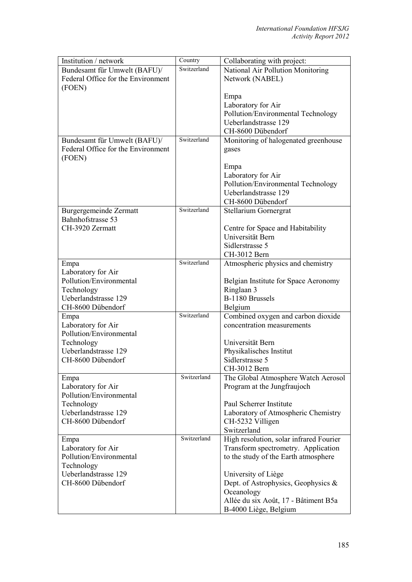| Switzerland<br>Bundesamt für Umwelt (BAFU)/<br>National Air Pollution Monitoring<br>Federal Office for the Environment<br>Network (NABEL)<br>(FOEN)<br>Empa<br>Laboratory for Air<br>Pollution/Environmental Technology<br>Ueberlandstrasse 129<br>CH-8600 Dübendorf<br>Switzerland<br>Monitoring of halogenated greenhouse<br>Bundesamt für Umwelt (BAFU)/<br>Federal Office for the Environment<br>gases<br>(FOEN)<br>Empa<br>Laboratory for Air<br>Pollution/Environmental Technology<br>Ueberlandstrasse 129<br>CH-8600 Dübendorf<br>Switzerland<br><b>Burgergemeinde Zermatt</b><br>Stellarium Gornergrat<br>Bahnhofstrasse 53<br>CH-3920 Zermatt<br>Centre for Space and Habitability<br>Universität Bern<br>Sidlerstrasse 5<br>CH-3012 Bern<br>Switzerland<br>Atmospheric physics and chemistry<br>Empa<br>Laboratory for Air<br>Pollution/Environmental<br>Belgian Institute for Space Aeronomy<br>Ringlaan 3<br>Technology<br>Ueberlandstrasse 129<br>B-1180 Brussels<br>CH-8600 Dübendorf<br>Belgium<br>Switzerland<br>Combined oxygen and carbon dioxide<br>Empa<br>Laboratory for Air<br>concentration measurements<br>Pollution/Environmental<br>Technology<br>Universität Bern<br>Ueberlandstrasse 129<br>Physikalisches Institut |
|-------------------------------------------------------------------------------------------------------------------------------------------------------------------------------------------------------------------------------------------------------------------------------------------------------------------------------------------------------------------------------------------------------------------------------------------------------------------------------------------------------------------------------------------------------------------------------------------------------------------------------------------------------------------------------------------------------------------------------------------------------------------------------------------------------------------------------------------------------------------------------------------------------------------------------------------------------------------------------------------------------------------------------------------------------------------------------------------------------------------------------------------------------------------------------------------------------------------------------------------------|
|                                                                                                                                                                                                                                                                                                                                                                                                                                                                                                                                                                                                                                                                                                                                                                                                                                                                                                                                                                                                                                                                                                                                                                                                                                                 |
|                                                                                                                                                                                                                                                                                                                                                                                                                                                                                                                                                                                                                                                                                                                                                                                                                                                                                                                                                                                                                                                                                                                                                                                                                                                 |
|                                                                                                                                                                                                                                                                                                                                                                                                                                                                                                                                                                                                                                                                                                                                                                                                                                                                                                                                                                                                                                                                                                                                                                                                                                                 |
|                                                                                                                                                                                                                                                                                                                                                                                                                                                                                                                                                                                                                                                                                                                                                                                                                                                                                                                                                                                                                                                                                                                                                                                                                                                 |
|                                                                                                                                                                                                                                                                                                                                                                                                                                                                                                                                                                                                                                                                                                                                                                                                                                                                                                                                                                                                                                                                                                                                                                                                                                                 |
|                                                                                                                                                                                                                                                                                                                                                                                                                                                                                                                                                                                                                                                                                                                                                                                                                                                                                                                                                                                                                                                                                                                                                                                                                                                 |
|                                                                                                                                                                                                                                                                                                                                                                                                                                                                                                                                                                                                                                                                                                                                                                                                                                                                                                                                                                                                                                                                                                                                                                                                                                                 |
|                                                                                                                                                                                                                                                                                                                                                                                                                                                                                                                                                                                                                                                                                                                                                                                                                                                                                                                                                                                                                                                                                                                                                                                                                                                 |
|                                                                                                                                                                                                                                                                                                                                                                                                                                                                                                                                                                                                                                                                                                                                                                                                                                                                                                                                                                                                                                                                                                                                                                                                                                                 |
|                                                                                                                                                                                                                                                                                                                                                                                                                                                                                                                                                                                                                                                                                                                                                                                                                                                                                                                                                                                                                                                                                                                                                                                                                                                 |
|                                                                                                                                                                                                                                                                                                                                                                                                                                                                                                                                                                                                                                                                                                                                                                                                                                                                                                                                                                                                                                                                                                                                                                                                                                                 |
|                                                                                                                                                                                                                                                                                                                                                                                                                                                                                                                                                                                                                                                                                                                                                                                                                                                                                                                                                                                                                                                                                                                                                                                                                                                 |
|                                                                                                                                                                                                                                                                                                                                                                                                                                                                                                                                                                                                                                                                                                                                                                                                                                                                                                                                                                                                                                                                                                                                                                                                                                                 |
|                                                                                                                                                                                                                                                                                                                                                                                                                                                                                                                                                                                                                                                                                                                                                                                                                                                                                                                                                                                                                                                                                                                                                                                                                                                 |
|                                                                                                                                                                                                                                                                                                                                                                                                                                                                                                                                                                                                                                                                                                                                                                                                                                                                                                                                                                                                                                                                                                                                                                                                                                                 |
|                                                                                                                                                                                                                                                                                                                                                                                                                                                                                                                                                                                                                                                                                                                                                                                                                                                                                                                                                                                                                                                                                                                                                                                                                                                 |
|                                                                                                                                                                                                                                                                                                                                                                                                                                                                                                                                                                                                                                                                                                                                                                                                                                                                                                                                                                                                                                                                                                                                                                                                                                                 |
|                                                                                                                                                                                                                                                                                                                                                                                                                                                                                                                                                                                                                                                                                                                                                                                                                                                                                                                                                                                                                                                                                                                                                                                                                                                 |
|                                                                                                                                                                                                                                                                                                                                                                                                                                                                                                                                                                                                                                                                                                                                                                                                                                                                                                                                                                                                                                                                                                                                                                                                                                                 |
|                                                                                                                                                                                                                                                                                                                                                                                                                                                                                                                                                                                                                                                                                                                                                                                                                                                                                                                                                                                                                                                                                                                                                                                                                                                 |
|                                                                                                                                                                                                                                                                                                                                                                                                                                                                                                                                                                                                                                                                                                                                                                                                                                                                                                                                                                                                                                                                                                                                                                                                                                                 |
|                                                                                                                                                                                                                                                                                                                                                                                                                                                                                                                                                                                                                                                                                                                                                                                                                                                                                                                                                                                                                                                                                                                                                                                                                                                 |
|                                                                                                                                                                                                                                                                                                                                                                                                                                                                                                                                                                                                                                                                                                                                                                                                                                                                                                                                                                                                                                                                                                                                                                                                                                                 |
|                                                                                                                                                                                                                                                                                                                                                                                                                                                                                                                                                                                                                                                                                                                                                                                                                                                                                                                                                                                                                                                                                                                                                                                                                                                 |
|                                                                                                                                                                                                                                                                                                                                                                                                                                                                                                                                                                                                                                                                                                                                                                                                                                                                                                                                                                                                                                                                                                                                                                                                                                                 |
|                                                                                                                                                                                                                                                                                                                                                                                                                                                                                                                                                                                                                                                                                                                                                                                                                                                                                                                                                                                                                                                                                                                                                                                                                                                 |
|                                                                                                                                                                                                                                                                                                                                                                                                                                                                                                                                                                                                                                                                                                                                                                                                                                                                                                                                                                                                                                                                                                                                                                                                                                                 |
|                                                                                                                                                                                                                                                                                                                                                                                                                                                                                                                                                                                                                                                                                                                                                                                                                                                                                                                                                                                                                                                                                                                                                                                                                                                 |
|                                                                                                                                                                                                                                                                                                                                                                                                                                                                                                                                                                                                                                                                                                                                                                                                                                                                                                                                                                                                                                                                                                                                                                                                                                                 |
|                                                                                                                                                                                                                                                                                                                                                                                                                                                                                                                                                                                                                                                                                                                                                                                                                                                                                                                                                                                                                                                                                                                                                                                                                                                 |
|                                                                                                                                                                                                                                                                                                                                                                                                                                                                                                                                                                                                                                                                                                                                                                                                                                                                                                                                                                                                                                                                                                                                                                                                                                                 |
|                                                                                                                                                                                                                                                                                                                                                                                                                                                                                                                                                                                                                                                                                                                                                                                                                                                                                                                                                                                                                                                                                                                                                                                                                                                 |
|                                                                                                                                                                                                                                                                                                                                                                                                                                                                                                                                                                                                                                                                                                                                                                                                                                                                                                                                                                                                                                                                                                                                                                                                                                                 |
|                                                                                                                                                                                                                                                                                                                                                                                                                                                                                                                                                                                                                                                                                                                                                                                                                                                                                                                                                                                                                                                                                                                                                                                                                                                 |
| CH-8600 Dübendorf<br>Sidlerstrasse 5                                                                                                                                                                                                                                                                                                                                                                                                                                                                                                                                                                                                                                                                                                                                                                                                                                                                                                                                                                                                                                                                                                                                                                                                            |
| CH-3012 Bern                                                                                                                                                                                                                                                                                                                                                                                                                                                                                                                                                                                                                                                                                                                                                                                                                                                                                                                                                                                                                                                                                                                                                                                                                                    |
| Switzerland<br>The Global Atmosphere Watch Aerosol<br>Empa                                                                                                                                                                                                                                                                                                                                                                                                                                                                                                                                                                                                                                                                                                                                                                                                                                                                                                                                                                                                                                                                                                                                                                                      |
| Laboratory for Air<br>Program at the Jungfraujoch                                                                                                                                                                                                                                                                                                                                                                                                                                                                                                                                                                                                                                                                                                                                                                                                                                                                                                                                                                                                                                                                                                                                                                                               |
| Pollution/Environmental                                                                                                                                                                                                                                                                                                                                                                                                                                                                                                                                                                                                                                                                                                                                                                                                                                                                                                                                                                                                                                                                                                                                                                                                                         |
| Technology<br>Paul Scherrer Institute                                                                                                                                                                                                                                                                                                                                                                                                                                                                                                                                                                                                                                                                                                                                                                                                                                                                                                                                                                                                                                                                                                                                                                                                           |
| Ueberlandstrasse 129<br>Laboratory of Atmospheric Chemistry                                                                                                                                                                                                                                                                                                                                                                                                                                                                                                                                                                                                                                                                                                                                                                                                                                                                                                                                                                                                                                                                                                                                                                                     |
| CH-8600 Dübendorf<br>CH-5232 Villigen                                                                                                                                                                                                                                                                                                                                                                                                                                                                                                                                                                                                                                                                                                                                                                                                                                                                                                                                                                                                                                                                                                                                                                                                           |
| Switzerland                                                                                                                                                                                                                                                                                                                                                                                                                                                                                                                                                                                                                                                                                                                                                                                                                                                                                                                                                                                                                                                                                                                                                                                                                                     |
| Switzerland<br>High resolution, solar infrared Fourier<br>Empa                                                                                                                                                                                                                                                                                                                                                                                                                                                                                                                                                                                                                                                                                                                                                                                                                                                                                                                                                                                                                                                                                                                                                                                  |
| Laboratory for Air<br>Transform spectrometry. Application                                                                                                                                                                                                                                                                                                                                                                                                                                                                                                                                                                                                                                                                                                                                                                                                                                                                                                                                                                                                                                                                                                                                                                                       |
| Pollution/Environmental<br>to the study of the Earth atmosphere                                                                                                                                                                                                                                                                                                                                                                                                                                                                                                                                                                                                                                                                                                                                                                                                                                                                                                                                                                                                                                                                                                                                                                                 |
| Technology                                                                                                                                                                                                                                                                                                                                                                                                                                                                                                                                                                                                                                                                                                                                                                                                                                                                                                                                                                                                                                                                                                                                                                                                                                      |
| Ueberlandstrasse 129<br>University of Liège                                                                                                                                                                                                                                                                                                                                                                                                                                                                                                                                                                                                                                                                                                                                                                                                                                                                                                                                                                                                                                                                                                                                                                                                     |
| CH-8600 Dübendorf<br>Dept. of Astrophysics, Geophysics &                                                                                                                                                                                                                                                                                                                                                                                                                                                                                                                                                                                                                                                                                                                                                                                                                                                                                                                                                                                                                                                                                                                                                                                        |
| Oceanology                                                                                                                                                                                                                                                                                                                                                                                                                                                                                                                                                                                                                                                                                                                                                                                                                                                                                                                                                                                                                                                                                                                                                                                                                                      |
| Allée du six Août, 17 - Bâtiment B5a                                                                                                                                                                                                                                                                                                                                                                                                                                                                                                                                                                                                                                                                                                                                                                                                                                                                                                                                                                                                                                                                                                                                                                                                            |
| B-4000 Liège, Belgium                                                                                                                                                                                                                                                                                                                                                                                                                                                                                                                                                                                                                                                                                                                                                                                                                                                                                                                                                                                                                                                                                                                                                                                                                           |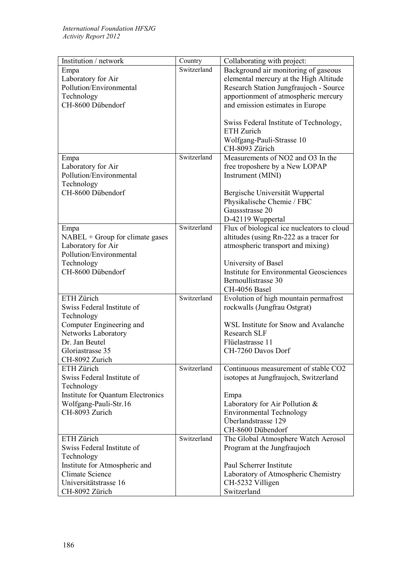| Institution / network                     | Country     | Collaborating with project:                                       |
|-------------------------------------------|-------------|-------------------------------------------------------------------|
| Empa                                      | Switzerland | Background air monitoring of gaseous                              |
| Laboratory for Air                        |             | elemental mercury at the High Altitude                            |
| Pollution/Environmental                   |             | Research Station Jungfraujoch - Source                            |
| Technology                                |             | apportionment of atmospheric mercury                              |
| CH-8600 Dübendorf                         |             | and emission estimates in Europe                                  |
|                                           |             |                                                                   |
|                                           |             | Swiss Federal Institute of Technology,                            |
|                                           |             | ETH Zurich                                                        |
|                                           |             | Wolfgang-Pauli-Strasse 10                                         |
|                                           |             | CH-8093 Zürich                                                    |
| Empa                                      | Switzerland | Measurements of NO2 and O3 In the                                 |
| Laboratory for Air                        |             | free troposhere by a New LOPAP                                    |
| Pollution/Environmental                   |             | Instrument (MINI)                                                 |
| Technology<br>CH-8600 Dübendorf           |             |                                                                   |
|                                           |             | Bergische Universität Wuppertal                                   |
|                                           |             | Physikalische Chemie / FBC<br>Gaussstrasse 20                     |
|                                           |             |                                                                   |
|                                           | Switzerland | D-42119 Wuppertal<br>Flux of biological ice nucleators to cloud   |
| Empa<br>$NABEL + Group for climate gases$ |             | altitudes (using Rn-222 as a tracer for                           |
| Laboratory for Air                        |             | atmospheric transport and mixing)                                 |
| Pollution/Environmental                   |             |                                                                   |
| Technology                                |             | University of Basel                                               |
| CH-8600 Dübendorf                         |             | <b>Institute for Environmental Geosciences</b>                    |
|                                           |             | Bernoullistrasse 30                                               |
|                                           |             | CH-4056 Basel                                                     |
| ETH Zürich                                | Switzerland | Evolution of high mountain permafrost                             |
| Swiss Federal Institute of                |             | rockwalls (Jungfrau Ostgrat)                                      |
| Technology                                |             |                                                                   |
| Computer Engineering and                  |             | WSL Institute for Snow and Avalanche                              |
| Networks Laboratory                       |             | <b>Research SLF</b>                                               |
| Dr. Jan Beutel                            |             | Flüelastrasse 11                                                  |
| Gloriastrasse 35                          |             | CH-7260 Davos Dorf                                                |
| CH-8092 Zurich                            |             |                                                                   |
| ETH Zürich                                | Switzerland | Continuous measurement of stable CO2                              |
| Swiss Federal Institute of                |             | isotopes at Jungfraujoch, Switzerland                             |
| Technology                                |             |                                                                   |
| <b>Institute for Quantum Electronics</b>  |             | Empa                                                              |
| Wolfgang-Pauli-Str.16<br>CH-8093 Zurich   |             | Laboratory for Air Pollution &<br><b>Environmental Technology</b> |
|                                           |             | Überlandstrasse 129                                               |
|                                           |             | CH-8600 Dübendorf                                                 |
| ETH Zürich                                | Switzerland | The Global Atmosphere Watch Aerosol                               |
| Swiss Federal Institute of                |             | Program at the Jungfraujoch                                       |
| Technology                                |             |                                                                   |
| Institute for Atmospheric and             |             | Paul Scherrer Institute                                           |
| <b>Climate Science</b>                    |             | Laboratory of Atmospheric Chemistry                               |
| Universitätstrasse 16                     |             | CH-5232 Villigen                                                  |
| CH-8092 Zürich                            |             | Switzerland                                                       |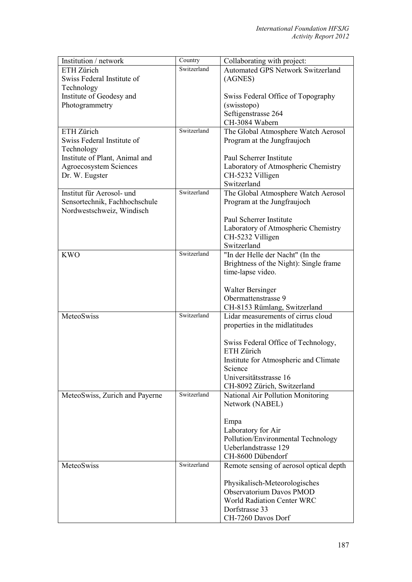| Institution / network          | Country     | Collaborating with project:              |
|--------------------------------|-------------|------------------------------------------|
| ETH Zürich                     | Switzerland | <b>Automated GPS Network Switzerland</b> |
| Swiss Federal Institute of     |             | (AGNES)                                  |
| Technology                     |             |                                          |
| Institute of Geodesy and       |             | Swiss Federal Office of Topography       |
| Photogrammetry                 |             | (swisstopo)                              |
|                                |             | Seftigenstrasse 264                      |
|                                |             | CH-3084 Wabern                           |
| ETH Zürich                     | Switzerland |                                          |
|                                |             | The Global Atmosphere Watch Aerosol      |
| Swiss Federal Institute of     |             | Program at the Jungfraujoch              |
| Technology                     |             |                                          |
| Institute of Plant, Animal and |             | Paul Scherrer Institute                  |
| <b>Agroecosystem Sciences</b>  |             | Laboratory of Atmospheric Chemistry      |
| Dr. W. Eugster                 |             | CH-5232 Villigen                         |
|                                |             | Switzerland                              |
| Institut für Aerosol- und      | Switzerland | The Global Atmosphere Watch Aerosol      |
| Sensortechnik, Fachhochschule  |             | Program at the Jungfraujoch              |
| Nordwestschweiz, Windisch      |             |                                          |
|                                |             | Paul Scherrer Institute                  |
|                                |             | Laboratory of Atmospheric Chemistry      |
|                                |             | CH-5232 Villigen                         |
|                                |             | Switzerland                              |
| <b>KWO</b>                     | Switzerland | "In der Helle der Nacht" (In the         |
|                                |             | Brightness of the Night): Single frame   |
|                                |             | time-lapse video.                        |
|                                |             |                                          |
|                                |             |                                          |
|                                |             | <b>Walter Bersinger</b>                  |
|                                |             | Obermattenstrasse 9                      |
|                                |             | CH-8153 Rümlang, Switzerland             |
| MeteoSwiss                     | Switzerland | Lidar measurements of cirrus cloud       |
|                                |             | properties in the midlatitudes           |
|                                |             |                                          |
|                                |             | Swiss Federal Office of Technology,      |
|                                |             | ETH Zürich                               |
|                                |             | Institute for Atmospheric and Climate    |
|                                |             | Science                                  |
|                                |             | Universitätsstrasse 16                   |
|                                |             | CH-8092 Zürich, Switzerland              |
| MeteoSwiss, Zurich and Payerne | Switzerland | National Air Pollution Monitoring        |
|                                |             | Network (NABEL)                          |
|                                |             |                                          |
|                                |             | Empa                                     |
|                                |             | Laboratory for Air                       |
|                                |             | Pollution/Environmental Technology       |
|                                |             | Ueberlandstrasse 129                     |
|                                |             | CH-8600 Dübendorf                        |
| MeteoSwiss                     | Switzerland |                                          |
|                                |             | Remote sensing of aerosol optical depth  |
|                                |             |                                          |
|                                |             | Physikalisch-Meteorologisches            |
|                                |             | Observatorium Davos PMOD                 |
|                                |             | <b>World Radiation Center WRC</b>        |
|                                |             | Dorfstrasse 33                           |
|                                |             | CH-7260 Davos Dorf                       |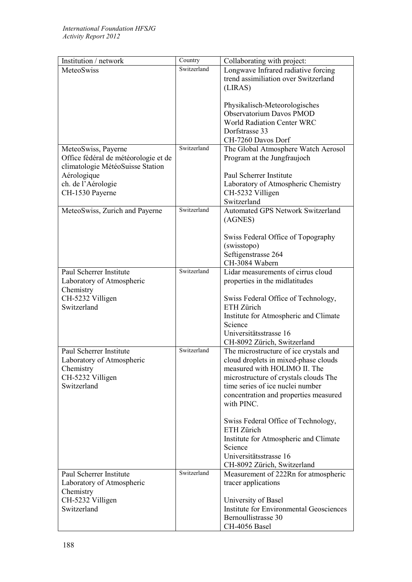| Institution / network                | $\overline{\text{Country}}$ | Collaborating with project:                       |
|--------------------------------------|-----------------------------|---------------------------------------------------|
| MeteoSwiss                           | Switzerland                 | Longwave Infrared radiative forcing               |
|                                      |                             | trend assimiliation over Switzerland              |
|                                      |                             | (LIRAS)                                           |
|                                      |                             |                                                   |
|                                      |                             | Physikalisch-Meteorologisches                     |
|                                      |                             | Observatorium Davos PMOD                          |
|                                      |                             | <b>World Radiation Center WRC</b>                 |
|                                      |                             | Dorfstrasse 33                                    |
|                                      | Switzerland                 | CH-7260 Davos Dorf                                |
| MeteoSwiss, Payerne                  |                             | The Global Atmosphere Watch Aerosol               |
| Office fédéral de météorologie et de |                             | Program at the Jungfraujoch                       |
| climatologie MétéoSuisse Station     |                             |                                                   |
| Aérologique                          |                             | Paul Scherrer Institute                           |
| ch. de l'Aérologie                   |                             | Laboratory of Atmospheric Chemistry               |
| CH-1530 Payerne                      |                             | CH-5232 Villigen<br>Switzerland                   |
|                                      | Switzerland                 | Automated GPS Network Switzerland                 |
| MeteoSwiss, Zurich and Payerne       |                             |                                                   |
|                                      |                             | (AGNES)                                           |
|                                      |                             | Swiss Federal Office of Topography                |
|                                      |                             | (swisstopo)                                       |
|                                      |                             | Seftigenstrasse 264                               |
|                                      |                             | CH-3084 Wabern                                    |
| Paul Scherrer Institute              | Switzerland                 | Lidar measurements of cirrus cloud                |
| Laboratory of Atmospheric            |                             | properties in the midlatitudes                    |
| Chemistry                            |                             |                                                   |
| CH-5232 Villigen                     |                             | Swiss Federal Office of Technology,               |
| Switzerland                          |                             | ETH Zürich                                        |
|                                      |                             | Institute for Atmospheric and Climate             |
|                                      |                             | Science                                           |
|                                      |                             | Universitätsstrasse 16                            |
|                                      |                             | CH-8092 Zürich, Switzerland                       |
| Paul Scherrer Institute              | Switzerland                 | The microstructure of ice crystals and            |
| Laboratory of Atmospheric            |                             | cloud droplets in mixed-phase clouds              |
| Chemistry                            |                             | measured with HOLIMO II. The                      |
| CH-5232 Villigen                     |                             | microstructure of crystals clouds The             |
| Switzerland                          |                             | time series of ice nuclei number                  |
|                                      |                             | concentration and properties measured             |
|                                      |                             | with PINC.                                        |
|                                      |                             |                                                   |
|                                      |                             | Swiss Federal Office of Technology,<br>ETH Zürich |
|                                      |                             |                                                   |
|                                      |                             | Institute for Atmospheric and Climate<br>Science  |
|                                      |                             | Universitätsstrasse 16                            |
|                                      |                             | CH-8092 Zürich, Switzerland                       |
| Paul Scherrer Institute              | Switzerland                 | Measurement of 222Rn for atmospheric              |
| Laboratory of Atmospheric            |                             | tracer applications                               |
| Chemistry                            |                             |                                                   |
| CH-5232 Villigen                     |                             | University of Basel                               |
| Switzerland                          |                             | <b>Institute for Environmental Geosciences</b>    |
|                                      |                             | Bernoullistrasse 30                               |
|                                      |                             | CH-4056 Basel                                     |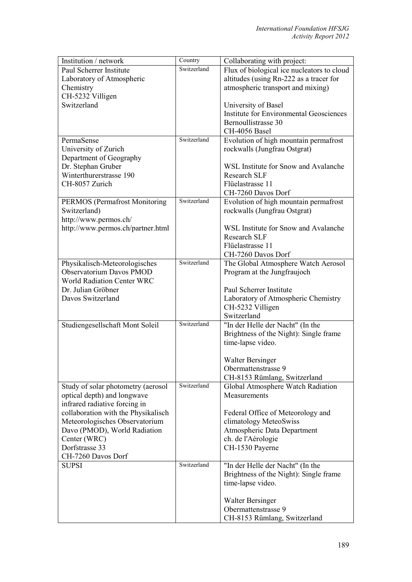| Institution / network                                   | Country     | Collaborating with project:                             |
|---------------------------------------------------------|-------------|---------------------------------------------------------|
| Paul Scherrer Institute                                 | Switzerland | Flux of biological ice nucleators to cloud              |
| Laboratory of Atmospheric                               |             | altitudes (using Rn-222 as a tracer for                 |
| Chemistry                                               |             | atmospheric transport and mixing)                       |
| CH-5232 Villigen                                        |             |                                                         |
| Switzerland                                             |             | University of Basel                                     |
|                                                         |             | <b>Institute for Environmental Geosciences</b>          |
|                                                         |             | Bernoullistrasse 30                                     |
|                                                         |             | CH-4056 Basel                                           |
| PermaSense                                              | Switzerland | Evolution of high mountain permafrost                   |
| University of Zurich                                    |             | rockwalls (Jungfrau Ostgrat)                            |
| Department of Geography                                 |             |                                                         |
| Dr. Stephan Gruber                                      |             | WSL Institute for Snow and Avalanche                    |
| Winterthurerstrasse 190                                 |             | <b>Research SLF</b>                                     |
| CH-8057 Zurich                                          |             | Flüelastrasse 11                                        |
|                                                         |             | CH-7260 Davos Dorf                                      |
| <b>PERMOS</b> (Permafrost Monitoring                    | Switzerland | Evolution of high mountain permafrost                   |
| Switzerland)                                            |             | rockwalls (Jungfrau Ostgrat)                            |
| http://www.permos.ch/                                   |             |                                                         |
| http://www.permos.ch/partner.html                       |             | WSL Institute for Snow and Avalanche                    |
|                                                         |             | <b>Research SLF</b>                                     |
|                                                         |             | Flüelastrasse 11                                        |
|                                                         | Switzerland | CH-7260 Davos Dorf                                      |
| Physikalisch-Meteorologisches                           |             | The Global Atmosphere Watch Aerosol                     |
| Observatorium Davos PMOD                                |             | Program at the Jungfraujoch                             |
| <b>World Radiation Center WRC</b><br>Dr. Julian Gröbner |             | Paul Scherrer Institute                                 |
| Davos Switzerland                                       |             |                                                         |
|                                                         |             | Laboratory of Atmospheric Chemistry<br>CH-5232 Villigen |
|                                                         |             | Switzerland                                             |
| Studiengesellschaft Mont Soleil                         | Switzerland | "In der Helle der Nacht" (In the                        |
|                                                         |             | Brightness of the Night): Single frame                  |
|                                                         |             | time-lapse video.                                       |
|                                                         |             |                                                         |
|                                                         |             | <b>Walter Bersinger</b>                                 |
|                                                         |             | Obermattenstrasse 9                                     |
|                                                         |             | CH-8153 Rümlang, Switzerland                            |
| Study of solar photometry (aerosol                      | Switzerland | Global Atmosphere Watch Radiation                       |
| optical depth) and longwave                             |             | Measurements                                            |
| infrared radiative forcing in                           |             |                                                         |
| collaboration with the Physikalisch                     |             | Federal Office of Meteorology and                       |
| Meteorologisches Observatorium                          |             | climatology MeteoSwiss                                  |
| Davo (PMOD), World Radiation                            |             | Atmospheric Data Department                             |
| Center (WRC)                                            |             | ch. de l'Aérologie                                      |
| Dorfstrasse 33                                          |             | CH-1530 Payerne                                         |
| CH-7260 Davos Dorf                                      |             |                                                         |
| <b>SUPSI</b>                                            | Switzerland | "In der Helle der Nacht" (In the                        |
|                                                         |             | Brightness of the Night): Single frame                  |
|                                                         |             | time-lapse video.                                       |
|                                                         |             |                                                         |
|                                                         |             | <b>Walter Bersinger</b>                                 |
|                                                         |             | Obermattenstrasse 9                                     |
|                                                         |             | CH-8153 Rümlang, Switzerland                            |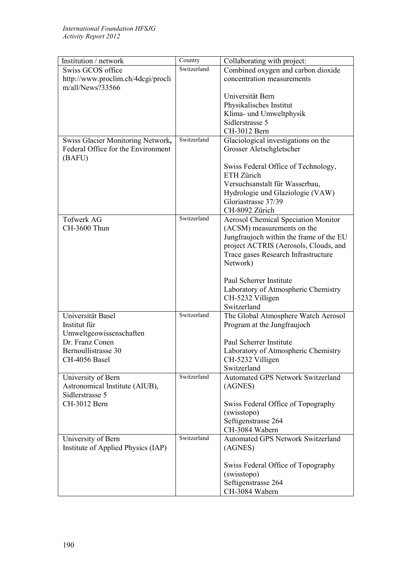| Institution / network              | Country     | Collaborating with project:                             |
|------------------------------------|-------------|---------------------------------------------------------|
| Swiss GCOS office                  | Switzerland | Combined oxygen and carbon dioxide                      |
| http://www.proclim.ch/4dcgi/procli |             | concentration measurements                              |
| m/all/News?33566                   |             |                                                         |
|                                    |             | Universität Bern                                        |
|                                    |             | Physikalisches Institut                                 |
|                                    |             | Klima- und Umweltphysik                                 |
|                                    |             | Sidlerstrasse 5                                         |
|                                    | Switzerland | CH-3012 Bern                                            |
| Swiss Glacier Monitoring Network,  |             | Glaciological investigations on the                     |
| Federal Office for the Environment |             | Grosser Aletschgletscher                                |
| (BAFU)                             |             |                                                         |
|                                    |             | Swiss Federal Office of Technology,<br>ETH Zürich       |
|                                    |             | Versuchsanstalt für Wasserbau,                          |
|                                    |             | Hydrologie und Glaziologie (VAW)                        |
|                                    |             | Gloriastrasse 37/39                                     |
|                                    |             | CH-8092 Zürich                                          |
| <b>Tofwerk AG</b>                  | Switzerland | <b>Aerosol Chemical Speciation Monitor</b>              |
| CH-3600 Thun                       |             | (ACSM) measurements on the                              |
|                                    |             | Jungfraujoch within the frame of the EU                 |
|                                    |             | project ACTRIS (Aerosols, Clouds, and                   |
|                                    |             | Trace gases Research Infrastructure                     |
|                                    |             | Network)                                                |
|                                    |             |                                                         |
|                                    |             | Paul Scherrer Institute                                 |
|                                    |             | Laboratory of Atmospheric Chemistry                     |
|                                    |             | CH-5232 Villigen                                        |
|                                    |             | Switzerland                                             |
| Universität Basel                  | Switzerland | The Global Atmosphere Watch Aerosol                     |
| Institut für                       |             | Program at the Jungfraujoch                             |
| Umweltgeowissenschaften            |             |                                                         |
| Dr. Franz Conen                    |             | Paul Scherrer Institute                                 |
| Bernoullistrasse 30                |             | Laboratory of Atmospheric Chemistry                     |
| CH-4056 Basel                      |             | CH-5232 Villigen                                        |
| University of Bern                 | Switzerland | Switzerland<br><b>Automated GPS Network Switzerland</b> |
| Astronomical Institute (AIUB),     |             | (AGNES)                                                 |
| Sidlerstrasse 5                    |             |                                                         |
| CH-3012 Bern                       |             | Swiss Federal Office of Topography                      |
|                                    |             | (swisstopo)                                             |
|                                    |             | Seftigenstrasse 264                                     |
|                                    |             | CH-3084 Wabern                                          |
| University of Bern                 | Switzerland | <b>Automated GPS Network Switzerland</b>                |
| Institute of Applied Physics (IAP) |             | (AGNES)                                                 |
|                                    |             |                                                         |
|                                    |             | Swiss Federal Office of Topography                      |
|                                    |             | (swisstopo)                                             |
|                                    |             | Seftigenstrasse 264                                     |
|                                    |             | CH-3084 Wabern                                          |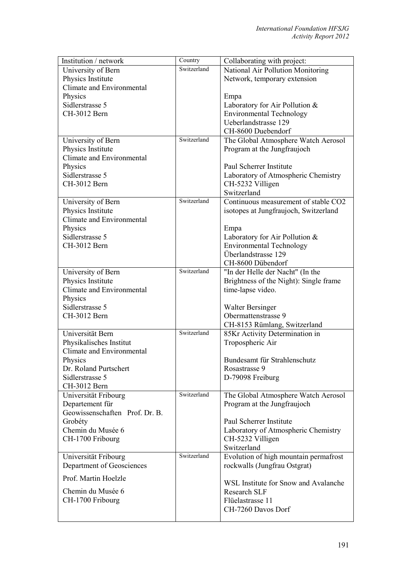| Institution / network                   | Country     | Collaborating with project:                            |
|-----------------------------------------|-------------|--------------------------------------------------------|
| University of Bern                      | Switzerland | National Air Pollution Monitoring                      |
| Physics Institute                       |             | Network, temporary extension                           |
| Climate and Environmental               |             |                                                        |
| Physics                                 |             | Empa                                                   |
| Sidlerstrasse 5                         |             | Laboratory for Air Pollution &                         |
| CH-3012 Bern                            |             | <b>Environmental Technology</b>                        |
|                                         |             | Ueberlandstrasse 129                                   |
|                                         |             | CH-8600 Duebendorf                                     |
| University of Bern                      | Switzerland | The Global Atmosphere Watch Aerosol                    |
| Physics Institute                       |             | Program at the Jungfraujoch                            |
| Climate and Environmental               |             |                                                        |
| Physics                                 |             | Paul Scherrer Institute                                |
| Sidlerstrasse 5                         |             | Laboratory of Atmospheric Chemistry                    |
| CH-3012 Bern                            |             | CH-5232 Villigen                                       |
|                                         |             | Switzerland                                            |
|                                         | Switzerland | Continuous measurement of stable CO2                   |
| University of Bern<br>Physics Institute |             |                                                        |
| Climate and Environmental               |             | isotopes at Jungfraujoch, Switzerland                  |
|                                         |             |                                                        |
| Physics                                 |             | Empa                                                   |
| Sidlerstrasse 5                         |             | Laboratory for Air Pollution &                         |
| CH-3012 Bern                            |             | <b>Environmental Technology</b><br>Überlandstrasse 129 |
|                                         |             |                                                        |
|                                         |             | CH-8600 Dübendorf                                      |
| University of Bern                      | Switzerland | "In der Helle der Nacht" (In the                       |
| Physics Institute                       |             | Brightness of the Night): Single frame                 |
| Climate and Environmental               |             | time-lapse video.                                      |
| Physics                                 |             |                                                        |
| Sidlerstrasse 5                         |             | Walter Bersinger                                       |
| CH-3012 Bern                            |             | Obermattenstrasse 9                                    |
|                                         |             | CH-8153 Rümlang, Switzerland                           |
| Universität Bern                        | Switzerland | 85Kr Activity Determination in                         |
| Physikalisches Institut                 |             | Tropospheric Air                                       |
| <b>Climate and Environmental</b>        |             |                                                        |
| Physics                                 |             | Bundesamt für Strahlenschutz                           |
| Dr. Roland Purtschert                   |             | Rosastrasse 9                                          |
| Sidlerstrasse 5                         |             | D-79098 Freiburg                                       |
| CH-3012 Bern                            |             |                                                        |
| Universität Fribourg                    | Switzerland | The Global Atmosphere Watch Aerosol                    |
| Departement für                         |             | Program at the Jungfraujoch                            |
| Geowissenschaften Prof. Dr. B.          |             |                                                        |
| Grobéty                                 |             | Paul Scherrer Institute                                |
| Chemin du Musée 6                       |             | Laboratory of Atmospheric Chemistry                    |
| CH-1700 Fribourg                        |             | CH-5232 Villigen                                       |
|                                         |             | Switzerland                                            |
| Universität Fribourg                    | Switzerland | Evolution of high mountain permafrost                  |
| Department of Geosciences               |             | rockwalls (Jungfrau Ostgrat)                           |
| Prof. Martin Hoelzle                    |             |                                                        |
|                                         |             | WSL Institute for Snow and Avalanche                   |
| Chemin du Musée 6                       |             | Research SLF                                           |
| CH-1700 Fribourg                        |             | Flüelastrasse 11                                       |
|                                         |             | CH-7260 Davos Dorf                                     |
|                                         |             |                                                        |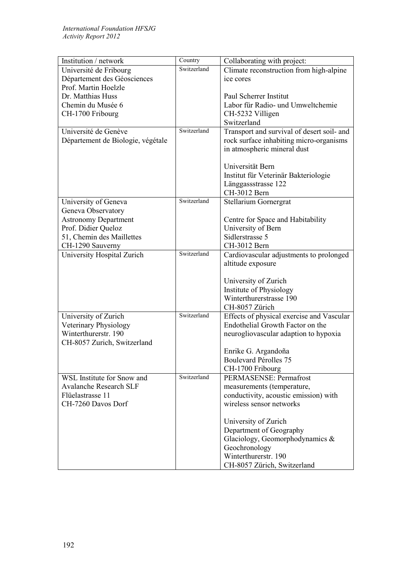| Institution / network             | Country     | Collaborating with project:                |
|-----------------------------------|-------------|--------------------------------------------|
| Université de Fribourg            | Switzerland | Climate reconstruction from high-alpine    |
| Département des Géosciences       |             | ice cores                                  |
| Prof. Martin Hoelzle              |             |                                            |
| Dr. Matthias Huss                 |             | Paul Scherrer Institut                     |
| Chemin du Musée 6                 |             | Labor für Radio- und Umweltchemie          |
| CH-1700 Fribourg                  |             | CH-5232 Villigen                           |
|                                   |             | Switzerland                                |
| Université de Genève              | Switzerland | Transport and survival of desert soil- and |
| Département de Biologie, végétale |             | rock surface inhabiting micro-organisms    |
|                                   |             | in atmospheric mineral dust                |
|                                   |             | Universität Bern                           |
|                                   |             | Institut für Veterinär Bakteriologie       |
|                                   |             | Länggassstrasse 122                        |
|                                   |             | CH-3012 Bern                               |
| University of Geneva              | Switzerland | Stellarium Gornergrat                      |
| Geneva Observatory                |             |                                            |
| <b>Astronomy Department</b>       |             | Centre for Space and Habitability          |
| Prof. Didier Queloz               |             | University of Bern                         |
| 51, Chemin des Maillettes         |             | Sidlerstrasse 5                            |
| CH-1290 Sauverny                  |             | CH-3012 Bern                               |
| University Hospital Zurich        | Switzerland | Cardiovascular adjustments to prolonged    |
|                                   |             | altitude exposure                          |
|                                   |             |                                            |
|                                   |             | University of Zurich                       |
|                                   |             | Institute of Physiology                    |
|                                   |             | Winterthurerstrasse 190                    |
|                                   |             | CH-8057 Zürich                             |
| University of Zurich              | Switzerland | Effects of physical exercise and Vascular  |
| Veterinary Physiology             |             | Endothelial Growth Factor on the           |
| Winterthurerstr. 190              |             | neurogliovascular adaption to hypoxia      |
| CH-8057 Zurich, Switzerland       |             |                                            |
|                                   |             | Enrike G. Argandoña                        |
|                                   |             | Boulevard Pérolles 75                      |
|                                   |             | CH-1700 Fribourg                           |
| WSL Institute for Snow and        | Switzerland | PERMASENSE: Permafrost                     |
| <b>Avalanche Research SLF</b>     |             | measurements (temperature,                 |
| Flüelastrasse 11                  |             | conductivity, acoustic emission) with      |
| CH-7260 Davos Dorf                |             | wireless sensor networks                   |
|                                   |             |                                            |
|                                   |             | University of Zurich                       |
|                                   |             | Department of Geography                    |
|                                   |             | Glaciology, Geomorphodynamics &            |
|                                   |             | Geochronology                              |
|                                   |             | Winterthurerstr. 190                       |
|                                   |             | CH-8057 Zürich, Switzerland                |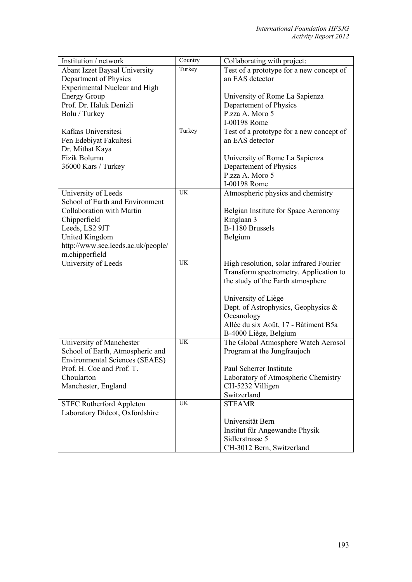| Institution / network                 | Country   | Collaborating with project:              |
|---------------------------------------|-----------|------------------------------------------|
| <b>Abant Izzet Baysal University</b>  | Turkey    | Test of a prototype for a new concept of |
| Department of Physics                 |           | an EAS detector                          |
| <b>Experimental Nuclear and High</b>  |           |                                          |
| <b>Energy Group</b>                   |           | University of Rome La Sapienza           |
| Prof. Dr. Haluk Denizli               |           | Departement of Physics                   |
| Bolu / Turkey                         |           | P.zza A. Moro 5                          |
|                                       |           | I-00198 Rome                             |
| Kafkas Universitesi                   | Turkey    | Test of a prototype for a new concept of |
| Fen Edebiyat Fakultesi                |           | an EAS detector                          |
| Dr. Mithat Kaya                       |           |                                          |
| Fizik Bolumu                          |           | University of Rome La Sapienza           |
| 36000 Kars / Turkey                   |           | Departement of Physics                   |
|                                       |           | P.zza A. Moro 5                          |
|                                       |           | I-00198 Rome                             |
| University of Leeds                   | <b>UK</b> | Atmospheric physics and chemistry        |
| School of Earth and Environment       |           |                                          |
| Collaboration with Martin             |           | Belgian Institute for Space Aeronomy     |
| Chipperfield                          |           | Ringlaan 3                               |
| Leeds, LS2 9JT                        |           | B-1180 Brussels                          |
| United Kingdom                        |           | Belgium                                  |
| http://www.see.leeds.ac.uk/people/    |           |                                          |
| m.chipperfield                        |           |                                          |
| University of Leeds                   | <b>UK</b> | High resolution, solar infrared Fourier  |
|                                       |           | Transform spectrometry. Application to   |
|                                       |           | the study of the Earth atmosphere        |
|                                       |           |                                          |
|                                       |           | University of Liège                      |
|                                       |           | Dept. of Astrophysics, Geophysics &      |
|                                       |           | Oceanology                               |
|                                       |           | Allée du six Août, 17 - Bâtiment B5a     |
|                                       |           | B-4000 Liège, Belgium                    |
| University of Manchester              | <b>UK</b> | The Global Atmosphere Watch Aerosol      |
| School of Earth, Atmospheric and      |           | Program at the Jungfraujoch              |
| <b>Environmental Sciences (SEAES)</b> |           |                                          |
| Prof. H. Coe and Prof. T.             |           | Paul Scherrer Institute                  |
| Choularton                            |           | Laboratory of Atmospheric Chemistry      |
| Manchester, England                   |           | CH-5232 Villigen                         |
|                                       |           | Switzerland                              |
| <b>STFC Rutherford Appleton</b>       | UK        | <b>STEAMR</b>                            |
| Laboratory Didcot, Oxfordshire        |           |                                          |
|                                       |           | Universität Bern                         |
|                                       |           | Institut für Angewandte Physik           |
|                                       |           | Sidlerstrasse 5                          |
|                                       |           | CH-3012 Bern, Switzerland                |